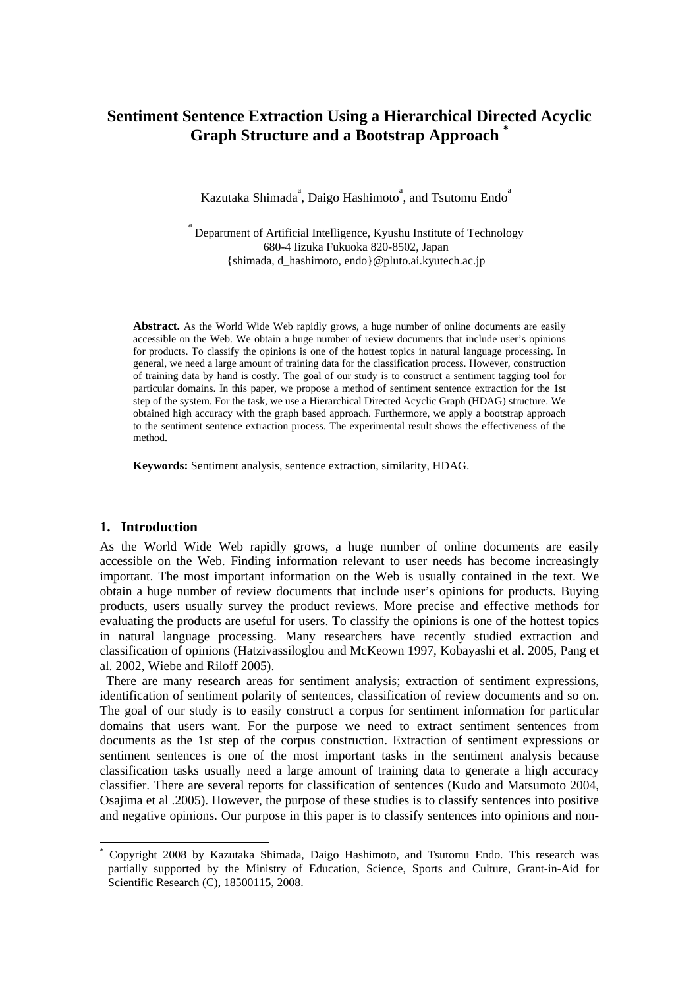# **Sentiment Sentence Extraction Using a Hierarchical Directed Acyclic Graph Structure and a Bootstrap Approach \***

Kazutaka Shimada<sup>a</sup>, Daigo Hashimoto<sup>a</sup>, and Tsutomu Endo<sup>a</sup>

a Department of Artificial Intelligence, Kyushu Institute of Technology 680-4 Iizuka Fukuoka 820-8502, Japan {shimada, d\_hashimoto, endo}@pluto.ai.kyutech.ac.jp

**Abstract.** As the World Wide Web rapidly grows, a huge number of online documents are easily accessible on the Web. We obtain a huge number of review documents that include user's opinions for products. To classify the opinions is one of the hottest topics in natural language processing. In general, we need a large amount of training data for the classification process. However, construction of training data by hand is costly. The goal of our study is to construct a sentiment tagging tool for particular domains. In this paper, we propose a method of sentiment sentence extraction for the 1st step of the system. For the task, we use a Hierarchical Directed Acyclic Graph (HDAG) structure. We obtained high accuracy with the graph based approach. Furthermore, we apply a bootstrap approach to the sentiment sentence extraction process. The experimental result shows the effectiveness of the method.

**Keywords:** Sentiment analysis, sentence extraction, similarity, HDAG.

#### **1. Introduction**

-

As the World Wide Web rapidly grows, a huge number of online documents are easily accessible on the Web. Finding information relevant to user needs has become increasingly important. The most important information on the Web is usually contained in the text. We obtain a huge number of review documents that include user's opinions for products. Buying products, users usually survey the product reviews. More precise and effective methods for evaluating the products are useful for users. To classify the opinions is one of the hottest topics in natural language processing. Many researchers have recently studied extraction and classification of opinions (Hatzivassiloglou and McKeown 1997, Kobayashi et al. 2005, Pang et al. 2002, Wiebe and Riloff 2005).

There are many research areas for sentiment analysis; extraction of sentiment expressions, identification of sentiment polarity of sentences, classification of review documents and so on. The goal of our study is to easily construct a corpus for sentiment information for particular domains that users want. For the purpose we need to extract sentiment sentences from documents as the 1st step of the corpus construction. Extraction of sentiment expressions or sentiment sentences is one of the most important tasks in the sentiment analysis because classification tasks usually need a large amount of training data to generate a high accuracy classifier. There are several reports for classification of sentences (Kudo and Matsumoto 2004, Osajima et al .2005). However, the purpose of these studies is to classify sentences into positive and negative opinions. Our purpose in this paper is to classify sentences into opinions and non-

<sup>\*</sup> Copyright 2008 by Kazutaka Shimada, Daigo Hashimoto, and Tsutomu Endo. This research was partially supported by the Ministry of Education, Science, Sports and Culture, Grant-in-Aid for Scientific Research (C), 18500115, 2008.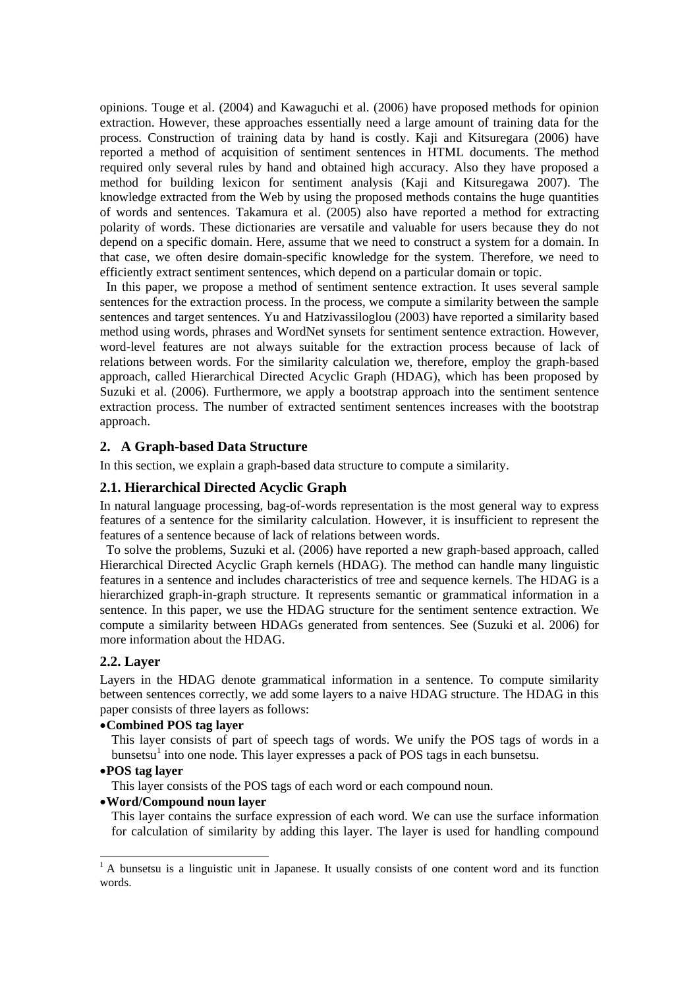opinions. Touge et al. (2004) and Kawaguchi et al. (2006) have proposed methods for opinion extraction. However, these approaches essentially need a large amount of training data for the process. Construction of training data by hand is costly. Kaji and Kitsuregara (2006) have reported a method of acquisition of sentiment sentences in HTML documents. The method required only several rules by hand and obtained high accuracy. Also they have proposed a method for building lexicon for sentiment analysis (Kaji and Kitsuregawa 2007). The knowledge extracted from the Web by using the proposed methods contains the huge quantities of words and sentences. Takamura et al. (2005) also have reported a method for extracting polarity of words. These dictionaries are versatile and valuable for users because they do not depend on a specific domain. Here, assume that we need to construct a system for a domain. In that case, we often desire domain-specific knowledge for the system. Therefore, we need to efficiently extract sentiment sentences, which depend on a particular domain or topic.

In this paper, we propose a method of sentiment sentence extraction. It uses several sample sentences for the extraction process. In the process, we compute a similarity between the sample sentences and target sentences. Yu and Hatzivassiloglou (2003) have reported a similarity based method using words, phrases and WordNet synsets for sentiment sentence extraction. However, word-level features are not always suitable for the extraction process because of lack of relations between words. For the similarity calculation we, therefore, employ the graph-based approach, called Hierarchical Directed Acyclic Graph (HDAG), which has been proposed by Suzuki et al. (2006). Furthermore, we apply a bootstrap approach into the sentiment sentence extraction process. The number of extracted sentiment sentences increases with the bootstrap approach.

# **2. A Graph-based Data Structure**

In this section, we explain a graph-based data structure to compute a similarity.

### **2.1. Hierarchical Directed Acyclic Graph**

In natural language processing, bag-of-words representation is the most general way to express features of a sentence for the similarity calculation. However, it is insufficient to represent the features of a sentence because of lack of relations between words.

To solve the problems, Suzuki et al. (2006) have reported a new graph-based approach, called Hierarchical Directed Acyclic Graph kernels (HDAG). The method can handle many linguistic features in a sentence and includes characteristics of tree and sequence kernels. The HDAG is a hierarchized graph-in-graph structure. It represents semantic or grammatical information in a sentence. In this paper, we use the HDAG structure for the sentiment sentence extraction. We compute a similarity between HDAGs generated from sentences. See (Suzuki et al. 2006) for more information about the HDAG.

### **2.2. Layer**

Layers in the HDAG denote grammatical information in a sentence. To compute similarity between sentences correctly, we add some layers to a naive HDAG structure. The HDAG in this paper consists of three layers as follows:

### •**Combined POS tag layer**

This layer consists of part of speech tags of words. We unify the POS tags of words in a bunsetsu<sup>1</sup> into one node. This layer expresses a pack of POS tags in each bunsetsu.

# •**POS tag layer**

1

This layer consists of the POS tags of each word or each compound noun.

### •**Word/Compound noun layer**

This layer contains the surface expression of each word. We can use the surface information for calculation of similarity by adding this layer. The layer is used for handling compound

<sup>&</sup>lt;sup>1</sup> A bunsetsu is a linguistic unit in Japanese. It usually consists of one content word and its function words.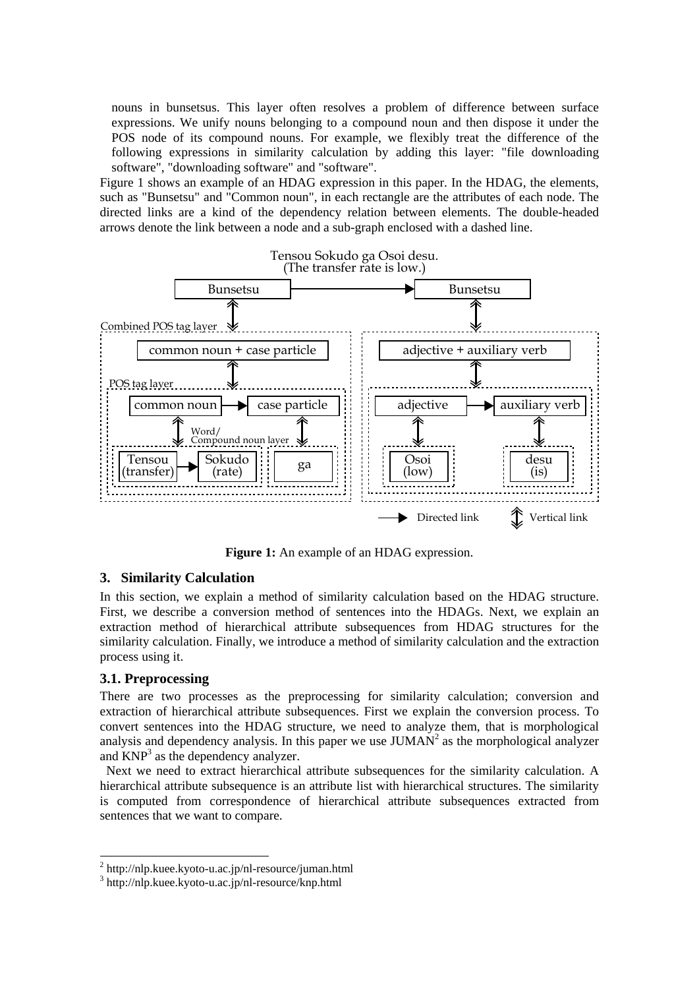nouns in bunsetsus. This layer often resolves a problem of difference between surface expressions. We unify nouns belonging to a compound noun and then dispose it under the POS node of its compound nouns. For example, we flexibly treat the difference of the following expressions in similarity calculation by adding this layer: "file downloading software", "downloading software" and "software".

Figure 1 shows an example of an HDAG expression in this paper. In the HDAG, the elements, such as "Bunsetsu" and "Common noun", in each rectangle are the attributes of each node. The directed links are a kind of the dependency relation between elements. The double-headed arrows denote the link between a node and a sub-graph enclosed with a dashed line.



**Figure 1:** An example of an HDAG expression.

# **3. Similarity Calculation**

In this section, we explain a method of similarity calculation based on the HDAG structure. First, we describe a conversion method of sentences into the HDAGs. Next, we explain an extraction method of hierarchical attribute subsequences from HDAG structures for the similarity calculation. Finally, we introduce a method of similarity calculation and the extraction process using it.

# **3.1. Preprocessing**

1

There are two processes as the preprocessing for similarity calculation; conversion and extraction of hierarchical attribute subsequences. First we explain the conversion process. To convert sentences into the HDAG structure, we need to analyze them, that is morphological analysis and dependency analysis. In this paper we use  $JUMAN<sup>2</sup>$  as the morphological analyzer and  $KNP<sup>3</sup>$  as the dependency analyzer.

Next we need to extract hierarchical attribute subsequences for the similarity calculation. A hierarchical attribute subsequence is an attribute list with hierarchical structures. The similarity is computed from correspondence of hierarchical attribute subsequences extracted from sentences that we want to compare.

<sup>&</sup>lt;sup>2</sup> http://nlp.kuee.kyoto-u.ac.jp/nl-resource/juman.html

<sup>3</sup> http://nlp.kuee.kyoto-u.ac.jp/nl-resource/knp.html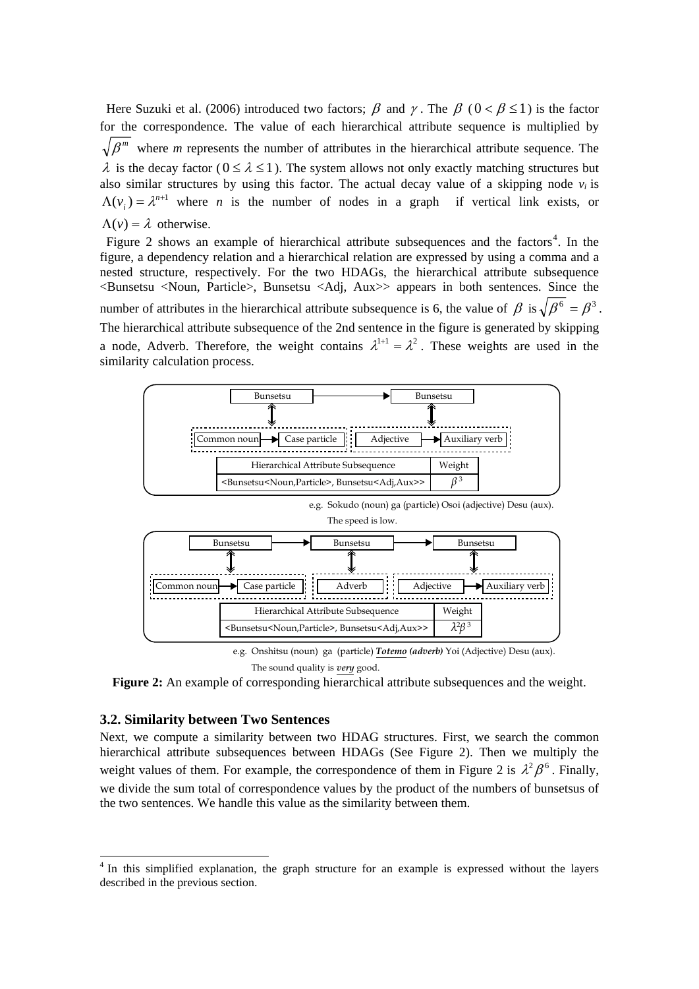Here Suzuki et al. (2006) introduced two factors;  $\beta$  and  $\gamma$ . The  $\beta$  ( $0 < \beta \le 1$ ) is the factor for the correspondence. The value of each hierarchical attribute sequence is multiplied by  $\sqrt{\beta^{m}}$  where *m* represents the number of attributes in the hierarchical attribute sequence. The  $\lambda$  is the decay factor ( $0 \le \lambda \le 1$ ). The system allows not only exactly matching structures but also similar structures by using this factor. The actual decay value of a skipping node  $v_i$  is  $\Lambda(v_i) = \lambda^{n+1}$  where *n* is the number of nodes in a graph if vertical link exists, or  $\Lambda(v) = \lambda$  otherwise.

Figure 2 shows an example of hierarchical attribute subsequences and the factors<sup>4</sup>. In the figure, a dependency relation and a hierarchical relation are expressed by using a comma and a nested structure, respectively. For the two HDAGs, the hierarchical attribute subsequence <Bunsetsu <Noun, Particle>, Bunsetsu <Adj, Aux>> appears in both sentences. Since the number of attributes in the hierarchical attribute subsequence is 6, the value of  $\beta$  is  $\sqrt{\beta^6} = \beta^3$ . The hierarchical attribute subsequence of the 2nd sentence in the figure is generated by skipping a node, Adverb. Therefore, the weight contains  $\lambda^{1+1} = \lambda^2$ . These weights are used in the similarity calculation process.



The sound quality is *very* good.

**Figure 2:** An example of corresponding hierarchical attribute subsequences and the weight.

#### **3.2. Similarity between Two Sentences**

1

Next, we compute a similarity between two HDAG structures. First, we search the common hierarchical attribute subsequences between HDAGs (See Figure 2). Then we multiply the weight values of them. For example, the correspondence of them in Figure 2 is  $\lambda^2 \beta^6$ . Finally, we divide the sum total of correspondence values by the product of the numbers of bunsetsus of the two sentences. We handle this value as the similarity between them.

<sup>&</sup>lt;sup>4</sup> In this simplified explanation, the graph structure for an example is expressed without the layers described in the previous section.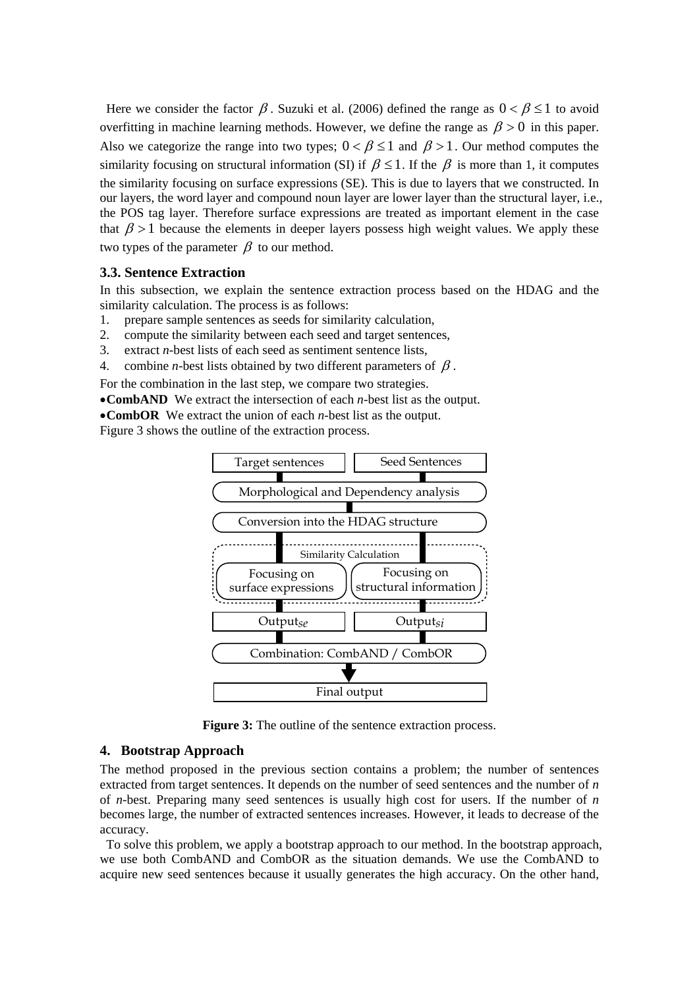Here we consider the factor  $\beta$ . Suzuki et al. (2006) defined the range as  $0 < \beta \le 1$  to avoid overfitting in machine learning methods. However, we define the range as  $\beta > 0$  in this paper. Also we categorize the range into two types;  $0 < \beta \le 1$  and  $\beta > 1$ . Our method computes the similarity focusing on structural information (SI) if  $\beta \leq 1$ . If the  $\beta$  is more than 1, it computes the similarity focusing on surface expressions (SE). This is due to layers that we constructed. In our layers, the word layer and compound noun layer are lower layer than the structural layer, i.e., the POS tag layer. Therefore surface expressions are treated as important element in the case that  $\beta > 1$  because the elements in deeper layers possess high weight values. We apply these two types of the parameter  $\beta$  to our method.

### **3.3. Sentence Extraction**

In this subsection, we explain the sentence extraction process based on the HDAG and the similarity calculation. The process is as follows:

- 1. prepare sample sentences as seeds for similarity calculation,
- 2. compute the similarity between each seed and target sentences,
- 3. extract *n*-best lists of each seed as sentiment sentence lists,
- 4. combine *n*-best lists obtained by two different parameters of  $\beta$ .

For the combination in the last step, we compare two strategies.

•**CombAND** We extract the intersection of each *n*-best list as the output.

•**CombOR** We extract the union of each *n*-best list as the output.

Figure 3 shows the outline of the extraction process.



**Figure 3:** The outline of the sentence extraction process.

### **4. Bootstrap Approach**

The method proposed in the previous section contains a problem; the number of sentences extracted from target sentences. It depends on the number of seed sentences and the number of *n* of *n*-best. Preparing many seed sentences is usually high cost for users. If the number of *n* becomes large, the number of extracted sentences increases. However, it leads to decrease of the accuracy.

To solve this problem, we apply a bootstrap approach to our method. In the bootstrap approach, we use both CombAND and CombOR as the situation demands. We use the CombAND to acquire new seed sentences because it usually generates the high accuracy. On the other hand,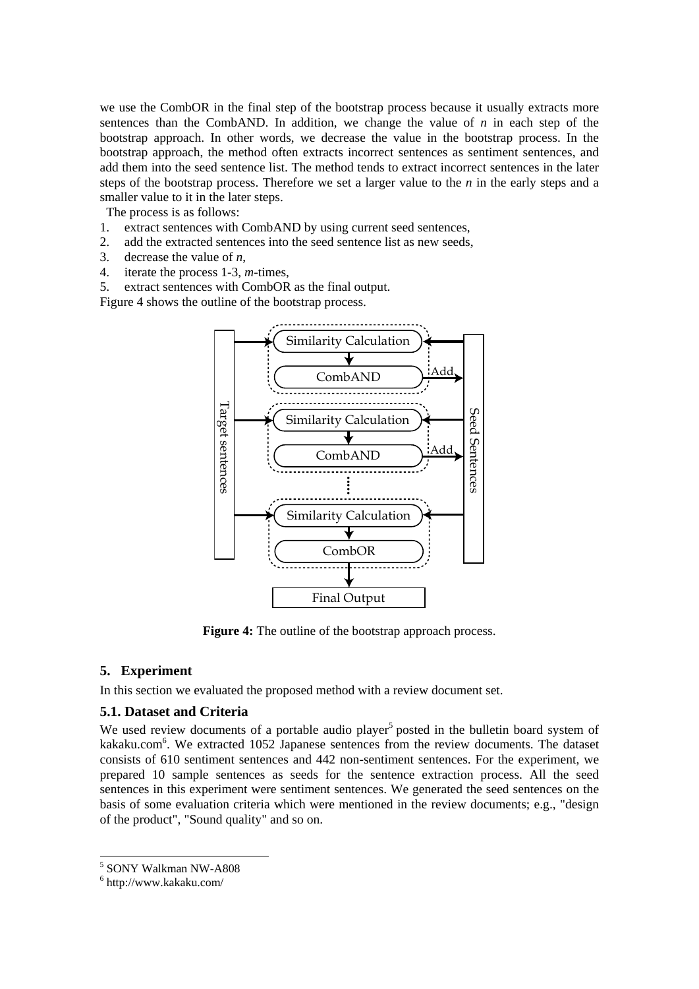we use the CombOR in the final step of the bootstrap process because it usually extracts more sentences than the CombAND. In addition, we change the value of  $n$  in each step of the bootstrap approach. In other words, we decrease the value in the bootstrap process. In the bootstrap approach, the method often extracts incorrect sentences as sentiment sentences, and add them into the seed sentence list. The method tends to extract incorrect sentences in the later steps of the bootstrap process. Therefore we set a larger value to the *n* in the early steps and a smaller value to it in the later steps.

The process is as follows:

- 1. extract sentences with CombAND by using current seed sentences,
- 2. add the extracted sentences into the seed sentence list as new seeds,
- 3. decrease the value of *n*,
- 4. iterate the process 1-3, *m*-times,

5. extract sentences with CombOR as the final output.

Figure 4 shows the outline of the bootstrap process.



**Figure 4:** The outline of the bootstrap approach process.

### **5. Experiment**

In this section we evaluated the proposed method with a review document set.

### **5.1. Dataset and Criteria**

We used review documents of a portable audio player<sup>5</sup> posted in the bulletin board system of kakaku.com<sup>6</sup>. We extracted 1052 Japanese sentences from the review documents. The dataset consists of 610 sentiment sentences and 442 non-sentiment sentences. For the experiment, we prepared 10 sample sentences as seeds for the sentence extraction process. All the seed sentences in this experiment were sentiment sentences. We generated the seed sentences on the basis of some evaluation criteria which were mentioned in the review documents; e.g., "design of the product", "Sound quality" and so on.

1

<sup>5</sup> SONY Walkman NW-A808

<sup>6</sup> http://www.kakaku.com/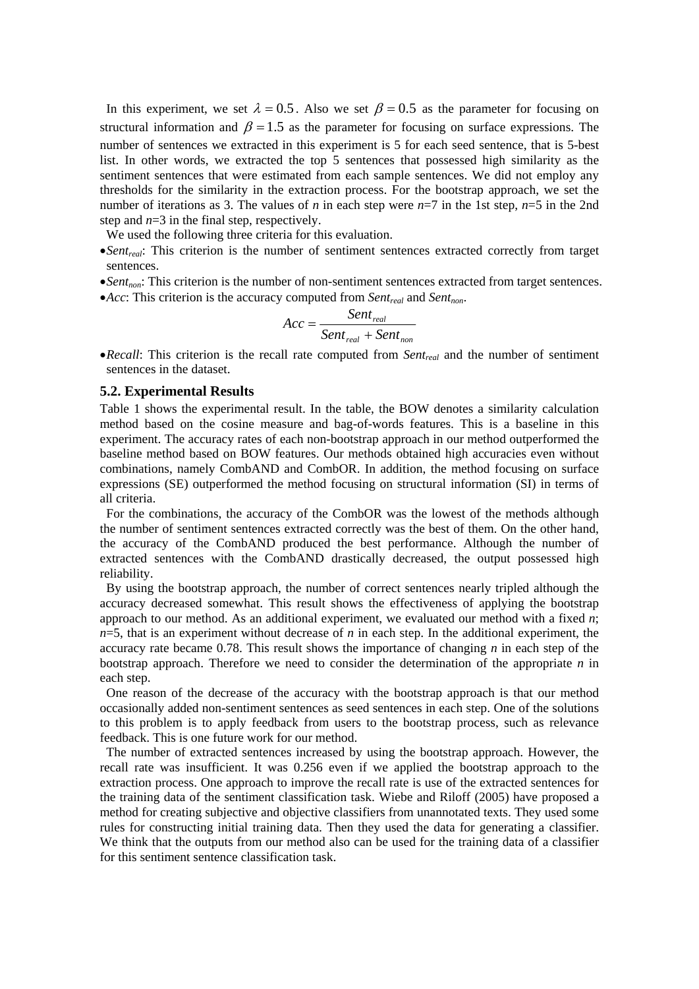In this experiment, we set  $\lambda = 0.5$ . Also we set  $\beta = 0.5$  as the parameter for focusing on structural information and  $\beta = 1.5$  as the parameter for focusing on surface expressions. The number of sentences we extracted in this experiment is 5 for each seed sentence, that is 5-best list. In other words, we extracted the top 5 sentences that possessed high similarity as the sentiment sentences that were estimated from each sample sentences. We did not employ any thresholds for the similarity in the extraction process. For the bootstrap approach, we set the number of iterations as 3. The values of *n* in each step were *n*=7 in the 1st step, *n*=5 in the 2nd step and  $n=3$  in the final step, respectively.

We used the following three criteria for this evaluation.

- •*Sent<sub>real</sub>*: This criterion is the number of sentiment sentences extracted correctly from target sentences.
- •*Sent<sub>non</sub>*: This criterion is the number of non-sentiment sentences extracted from target sentences.
- •*Acc*: This criterion is the accuracy computed from *Sent<sub>real</sub>* and *Sent<sub>non</sub>*.

$$
Acc = \frac{Sent_{real}}{Sent_{real} + Sent_{non}}
$$

•*Recall*: This criterion is the recall rate computed from *Sentreal* and the number of sentiment sentences in the dataset.

### **5.2. Experimental Results**

Table 1 shows the experimental result. In the table, the BOW denotes a similarity calculation method based on the cosine measure and bag-of-words features. This is a baseline in this experiment. The accuracy rates of each non-bootstrap approach in our method outperformed the baseline method based on BOW features. Our methods obtained high accuracies even without combinations, namely CombAND and CombOR. In addition, the method focusing on surface expressions (SE) outperformed the method focusing on structural information (SI) in terms of all criteria.

For the combinations, the accuracy of the CombOR was the lowest of the methods although the number of sentiment sentences extracted correctly was the best of them. On the other hand, the accuracy of the CombAND produced the best performance. Although the number of extracted sentences with the CombAND drastically decreased, the output possessed high reliability.

By using the bootstrap approach, the number of correct sentences nearly tripled although the accuracy decreased somewhat. This result shows the effectiveness of applying the bootstrap approach to our method. As an additional experiment, we evaluated our method with a fixed *n*; *n*=5, that is an experiment without decrease of *n* in each step. In the additional experiment, the accuracy rate became 0.78. This result shows the importance of changing *n* in each step of the bootstrap approach. Therefore we need to consider the determination of the appropriate *n* in each step.

One reason of the decrease of the accuracy with the bootstrap approach is that our method occasionally added non-sentiment sentences as seed sentences in each step. One of the solutions to this problem is to apply feedback from users to the bootstrap process, such as relevance feedback. This is one future work for our method.

The number of extracted sentences increased by using the bootstrap approach. However, the recall rate was insufficient. It was 0.256 even if we applied the bootstrap approach to the extraction process. One approach to improve the recall rate is use of the extracted sentences for the training data of the sentiment classification task. Wiebe and Riloff (2005) have proposed a method for creating subjective and objective classifiers from unannotated texts. They used some rules for constructing initial training data. Then they used the data for generating a classifier. We think that the outputs from our method also can be used for the training data of a classifier for this sentiment sentence classification task.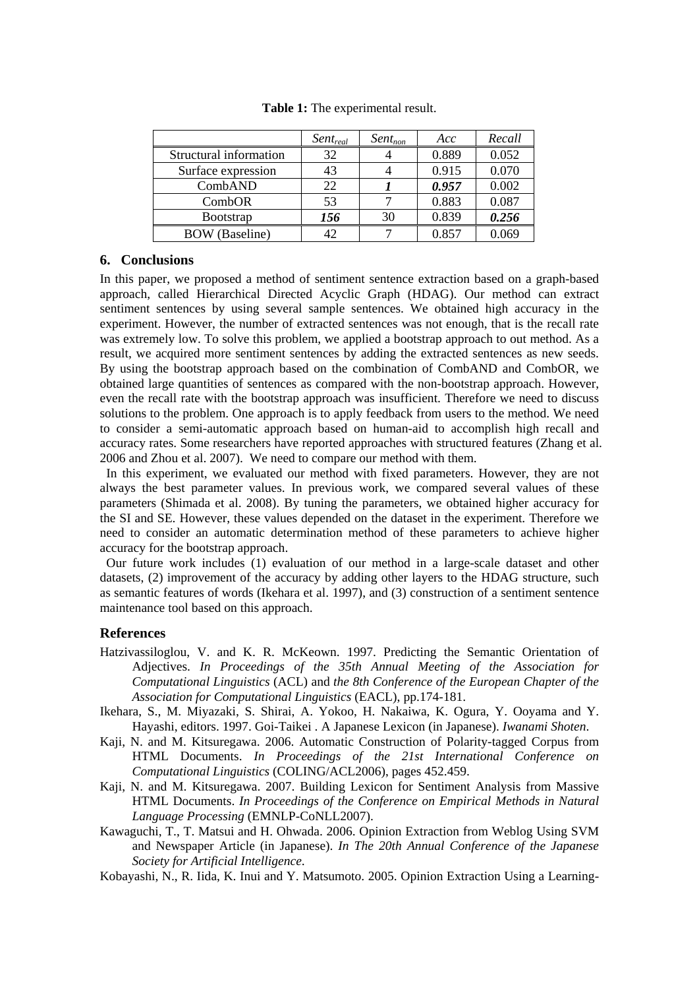|                          | $Sent_{real}$ | $Sent_{non}$ | Acc   | Recall |
|--------------------------|---------------|--------------|-------|--------|
| Structural information   | 32            |              | 0.889 | 0.052  |
| Surface expression       | 43            |              | 0.915 | 0.070  |
| CombAND                  | 22            |              | 0.957 | 0.002  |
| CombOR                   | 53            |              | 0.883 | 0.087  |
| <b>B</b> ootstrap        | 156           | 30           | 0.839 | 0.256  |
| (Baseline)<br><b>BOW</b> |               |              | 0.857 | 0.069  |

**Table 1:** The experimental result.

#### **6. Conclusions**

In this paper, we proposed a method of sentiment sentence extraction based on a graph-based approach, called Hierarchical Directed Acyclic Graph (HDAG). Our method can extract sentiment sentences by using several sample sentences. We obtained high accuracy in the experiment. However, the number of extracted sentences was not enough, that is the recall rate was extremely low. To solve this problem, we applied a bootstrap approach to out method. As a result, we acquired more sentiment sentences by adding the extracted sentences as new seeds. By using the bootstrap approach based on the combination of CombAND and CombOR, we obtained large quantities of sentences as compared with the non-bootstrap approach. However, even the recall rate with the bootstrap approach was insufficient. Therefore we need to discuss solutions to the problem. One approach is to apply feedback from users to the method. We need to consider a semi-automatic approach based on human-aid to accomplish high recall and accuracy rates. Some researchers have reported approaches with structured features (Zhang et al. 2006 and Zhou et al. 2007). We need to compare our method with them.

In this experiment, we evaluated our method with fixed parameters. However, they are not always the best parameter values. In previous work, we compared several values of these parameters (Shimada et al. 2008). By tuning the parameters, we obtained higher accuracy for the SI and SE. However, these values depended on the dataset in the experiment. Therefore we need to consider an automatic determination method of these parameters to achieve higher accuracy for the bootstrap approach.

Our future work includes (1) evaluation of our method in a large-scale dataset and other datasets, (2) improvement of the accuracy by adding other layers to the HDAG structure, such as semantic features of words (Ikehara et al. 1997), and (3) construction of a sentiment sentence maintenance tool based on this approach.

#### **References**

- Hatzivassiloglou, V. and K. R. McKeown. 1997. Predicting the Semantic Orientation of Adjectives. *In Proceedings of the 35th Annual Meeting of the Association for Computational Linguistics* (ACL) and *the 8th Conference of the European Chapter of the Association for Computational Linguistics* (EACL), pp.174-181.
- Ikehara, S., M. Miyazaki, S. Shirai, A. Yokoo, H. Nakaiwa, K. Ogura, Y. Ooyama and Y. Hayashi, editors. 1997. Goi-Taikei . A Japanese Lexicon (in Japanese). *Iwanami Shoten*.
- Kaji, N. and M. Kitsuregawa. 2006. Automatic Construction of Polarity-tagged Corpus from HTML Documents. *In Proceedings of the 21st International Conference on Computational Linguistics* (COLING/ACL2006), pages 452.459.
- Kaji, N. and M. Kitsuregawa. 2007. Building Lexicon for Sentiment Analysis from Massive HTML Documents. *In Proceedings of the Conference on Empirical Methods in Natural Language Processing* (EMNLP-CoNLL2007).
- Kawaguchi, T., T. Matsui and H. Ohwada. 2006. Opinion Extraction from Weblog Using SVM and Newspaper Article (in Japanese). *In The 20th Annual Conference of the Japanese Society for Artificial Intelligence*.
- Kobayashi, N., R. Iida, K. Inui and Y. Matsumoto. 2005. Opinion Extraction Using a Learning-